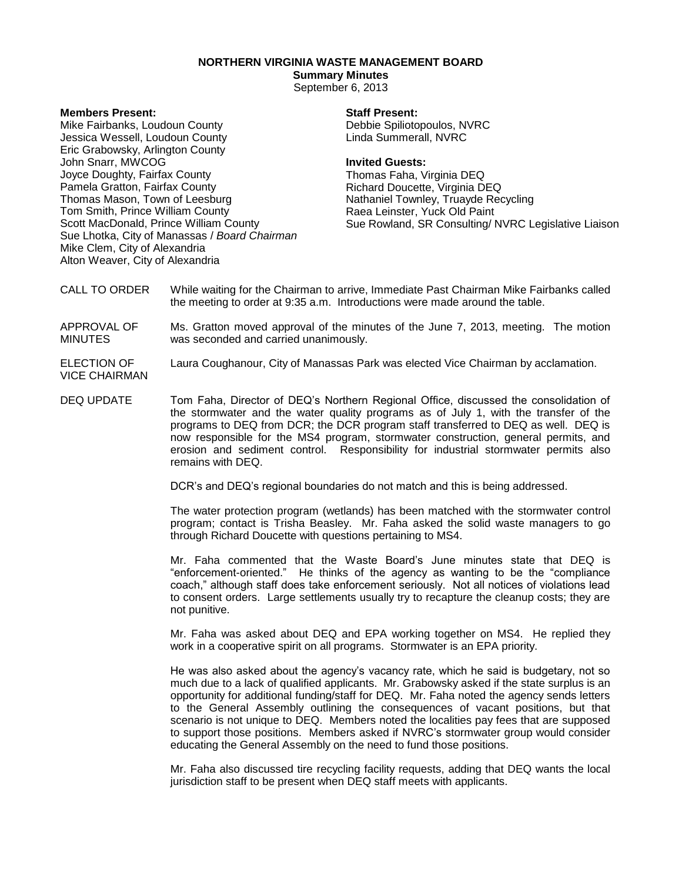## **NORTHERN VIRGINIA WASTE MANAGEMENT BOARD**

# **Summary Minutes**

September 6, 2013

### **Members Present:**

Mike Fairbanks, Loudoun County Jessica Wessell, Loudoun County Eric Grabowsky, Arlington County John Snarr, MWCOG Joyce Doughty, Fairfax County Pamela Gratton, Fairfax County Thomas Mason, Town of Leesburg Tom Smith, Prince William County Scott MacDonald, Prince William County Sue Lhotka, City of Manassas / *Board Chairman* Mike Clem, City of Alexandria Alton Weaver, City of Alexandria

#### **Staff Present:**

Debbie Spiliotopoulos, NVRC Linda Summerall, NVRC

#### **Invited Guests:**

Thomas Faha, Virginia DEQ Richard Doucette, Virginia DEQ Nathaniel Townley, Truayde Recycling Raea Leinster, Yuck Old Paint Sue Rowland, SR Consulting/ NVRC Legislative Liaison

- CALL TO ORDER While waiting for the Chairman to arrive, Immediate Past Chairman Mike Fairbanks called the meeting to order at 9:35 a.m. Introductions were made around the table.
- APPROVAL OF MINUTES Ms. Gratton moved approval of the minutes of the June 7, 2013, meeting. The motion was seconded and carried unanimously.
- ELECTION OF VICE CHAIRMAN Laura Coughanour, City of Manassas Park was elected Vice Chairman by acclamation.
- DEQ UPDATE Tom Faha, Director of DEQ's Northern Regional Office, discussed the consolidation of the stormwater and the water quality programs as of July 1, with the transfer of the programs to DEQ from DCR; the DCR program staff transferred to DEQ as well. DEQ is now responsible for the MS4 program, stormwater construction, general permits, and erosion and sediment control. Responsibility for industrial stormwater permits also remains with DEQ.

DCR's and DEQ's regional boundaries do not match and this is being addressed.

The water protection program (wetlands) has been matched with the stormwater control program; contact is Trisha Beasley. Mr. Faha asked the solid waste managers to go through Richard Doucette with questions pertaining to MS4.

Mr. Faha commented that the Waste Board's June minutes state that DEQ is "enforcement-oriented." He thinks of the agency as wanting to be the "compliance coach," although staff does take enforcement seriously. Not all notices of violations lead to consent orders. Large settlements usually try to recapture the cleanup costs; they are not punitive.

Mr. Faha was asked about DEQ and EPA working together on MS4. He replied they work in a cooperative spirit on all programs. Stormwater is an EPA priority.

He was also asked about the agency's vacancy rate, which he said is budgetary, not so much due to a lack of qualified applicants. Mr. Grabowsky asked if the state surplus is an opportunity for additional funding/staff for DEQ. Mr. Faha noted the agency sends letters to the General Assembly outlining the consequences of vacant positions, but that scenario is not unique to DEQ. Members noted the localities pay fees that are supposed to support those positions. Members asked if NVRC's stormwater group would consider educating the General Assembly on the need to fund those positions.

Mr. Faha also discussed tire recycling facility requests, adding that DEQ wants the local jurisdiction staff to be present when DEQ staff meets with applicants.